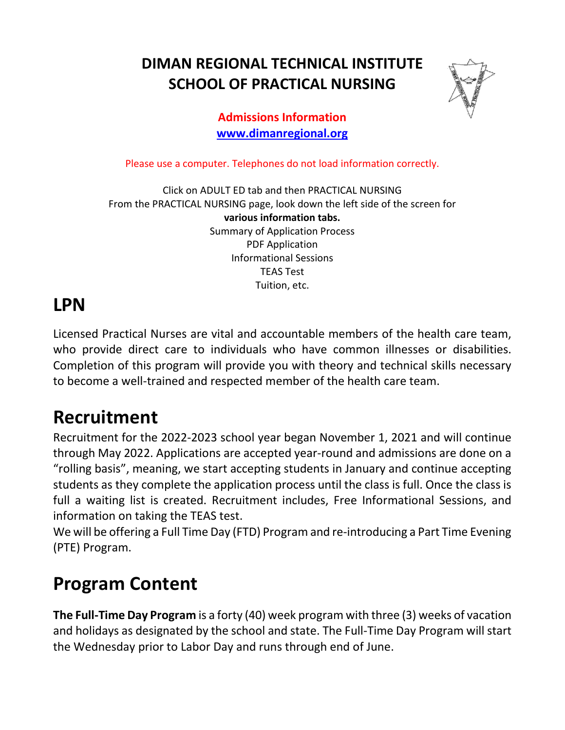**DIMAN REGIONAL TECHNICAL INSTITUTE SCHOOL OF PRACTICAL NURSING**



#### **Admissions Information [www.dimanregional.org](http://www.dimanregional.org/)**

Please use a computer. Telephones do not load information correctly.

Click on ADULT ED tab and then PRACTICAL NURSING From the PRACTICAL NURSING page, look down the left side of the screen for **various information tabs.** Summary of Application Process PDF Application Informational Sessions TEAS Test Tuition, etc.

### **LPN**

Licensed Practical Nurses are vital and accountable members of the health care team, who provide direct care to individuals who have common illnesses or disabilities. Completion of this program will provide you with theory and technical skills necessary to become a well-trained and respected member of the health care team.

## **Recruitment**

Recruitment for the 2022-2023 school year began November 1, 2021 and will continue through May 2022. Applications are accepted year-round and admissions are done on a "rolling basis", meaning, we start accepting students in January and continue accepting students as they complete the application process until the class is full. Once the class is full a waiting list is created. Recruitment includes, Free Informational Sessions, and information on taking the TEAS test.

We will be offering a Full Time Day (FTD) Program and re-introducing a Part Time Evening (PTE) Program.

## **Program Content**

**The Full-Time Day Program** is a forty (40) week program with three (3) weeks of vacation and holidays as designated by the school and state. The Full-Time Day Program will start the Wednesday prior to Labor Day and runs through end of June.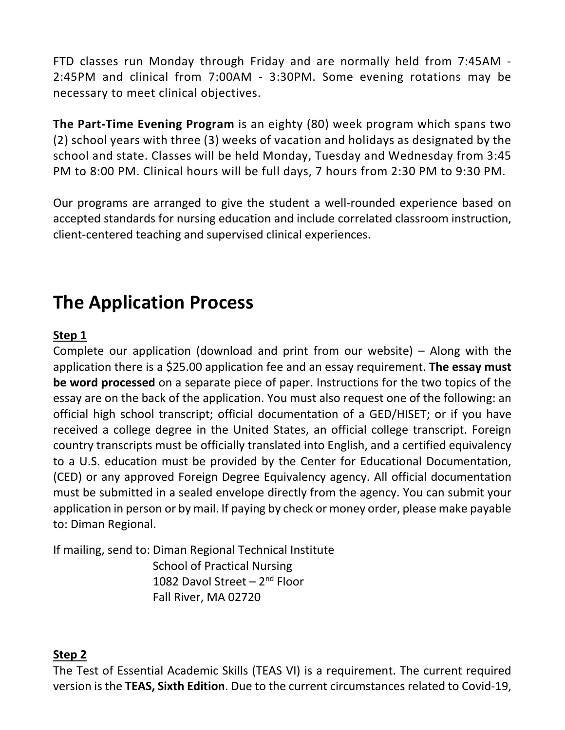FTD classes run Monday through Friday and are normally held from 7:45AM - 2:45PM and clinical from 7:00AM - 3:30PM. Some evening rotations may be necessary to meet clinical objectives.

**The Part-Time Evening Program** is an eighty (80) week program which spans two (2) school years with three (3) weeks of vacation and holidays as designated by the school and state. Classes will be held Monday, Tuesday and Wednesday from 3:45 PM to 8:00 PM. Clinical hours will be full days, 7 hours from 2:30 PM to 9:30 PM.

Our programs are arranged to give the student a well-rounded experience based on accepted standards for nursing education and include correlated classroom instruction, client-centered teaching and supervised clinical experiences.

# **The Application Process**

#### **Step 1**

Complete our application (download and print from our website) – Along with the application there is a \$25.00 application fee and an essay requirement. **The essay must be word processed** on a separate piece of paper. Instructions for the two topics of the essay are on the back of the application. You must also request one of the following: an official high school transcript; official documentation of a GED/HISET; or if you have received a college degree in the United States, an official college transcript. Foreign country transcripts must be officially translated into English, and a certified equivalency to a U.S. education must be provided by the Center for Educational Documentation, (CED) or any approved Foreign Degree Equivalency agency. All official documentation must be submitted in a sealed envelope directly from the agency. You can submit your application in person or by mail. If paying by check or money order, please make payable to: Diman Regional.

If mailing, send to: Diman Regional Technical Institute School of Practical Nursing 1082 Davol Street –  $2<sup>nd</sup>$  Floor Fall River, MA 02720

#### **Step 2**

The Test of Essential Academic Skills (TEAS VI) is a requirement. The current required version is the **TEAS, Sixth Edition**. Due to the current circumstances related to Covid-19,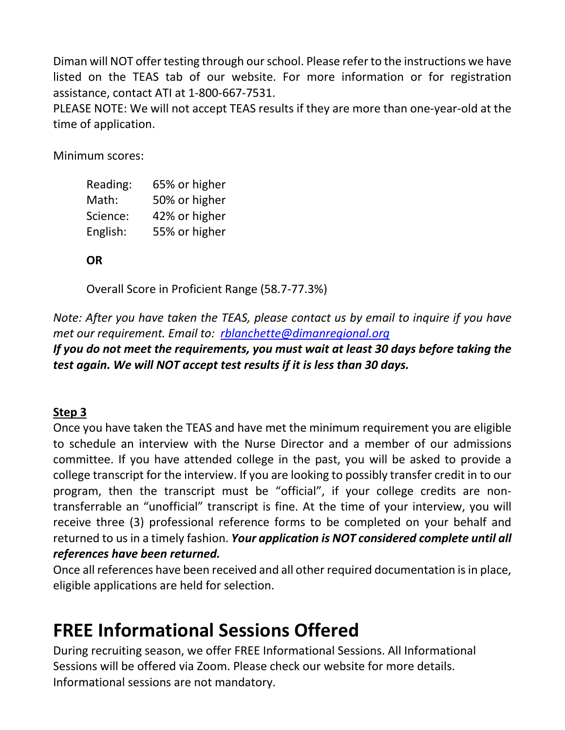Diman will NOT offer testing through our school. Please refer to the instructions we have listed on the TEAS tab of our website. For more information or for registration assistance, contact ATI at 1-800-667-7531.

PLEASE NOTE: We will not accept TEAS results if they are more than one-year-old at the time of application.

Minimum scores:

| Reading: | 65% or higher |
|----------|---------------|
| Math:    | 50% or higher |
| Science: | 42% or higher |
| English: | 55% or higher |

**OR**

Overall Score in Proficient Range (58.7-77.3%)

*Note: After you have taken the TEAS, please contact us by email to inquire if you have met our requirement. Email to: [rblanchette@dimanregional.org](mailto:rblanchette@dimanregional.org)*

*If you do not meet the requirements, you must wait at least 30 days before taking the test again. We will NOT accept test results if it is less than 30 days.*

#### **Step 3**

Once you have taken the TEAS and have met the minimum requirement you are eligible to schedule an interview with the Nurse Director and a member of our admissions committee. If you have attended college in the past, you will be asked to provide a college transcript for the interview. If you are looking to possibly transfer credit in to our program, then the transcript must be "official", if your college credits are nontransferrable an "unofficial" transcript is fine. At the time of your interview, you will receive three (3) professional reference forms to be completed on your behalf and returned to us in a timely fashion. *Your application is NOT considered complete until all references have been returned.*

Once all references have been received and all other required documentation is in place, eligible applications are held for selection.

## **FREE Informational Sessions Offered**

During recruiting season, we offer FREE Informational Sessions. All Informational Sessions will be offered via Zoom. Please check our website for more details. Informational sessions are not mandatory.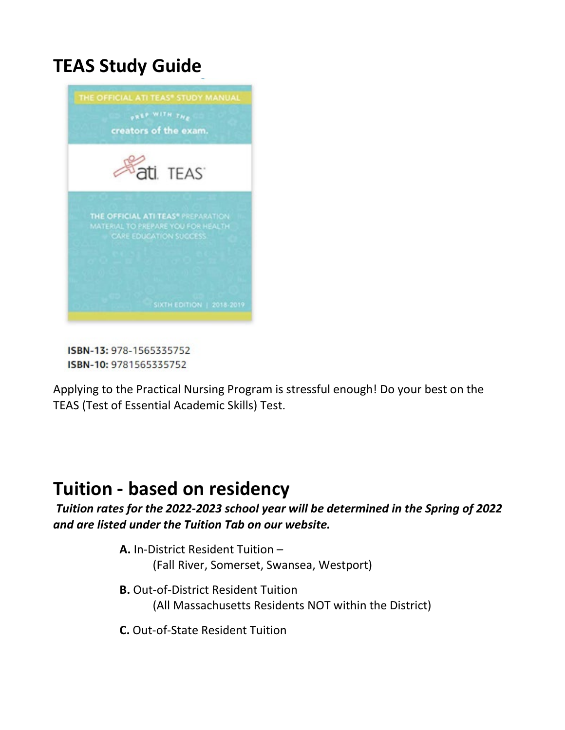## **TEAS Study Guide**



ISBN-13: 978-1565335752 ISBN-10: 9781565335752

Applying to the Practical Nursing Program is stressful enough! Do your best on the TEAS (Test of Essential Academic Skills) Test.

### **Tuition - based on residency**

*Tuition rates for the 2022-2023 school year will be determined in the Spring of 2022 and are listed under the Tuition Tab on our website.*

- **A.** In-District Resident Tuition (Fall River, Somerset, Swansea, Westport)
- **B.** Out-of-District Resident Tuition (All Massachusetts Residents NOT within the District)
- **C.** Out-of-State Resident Tuition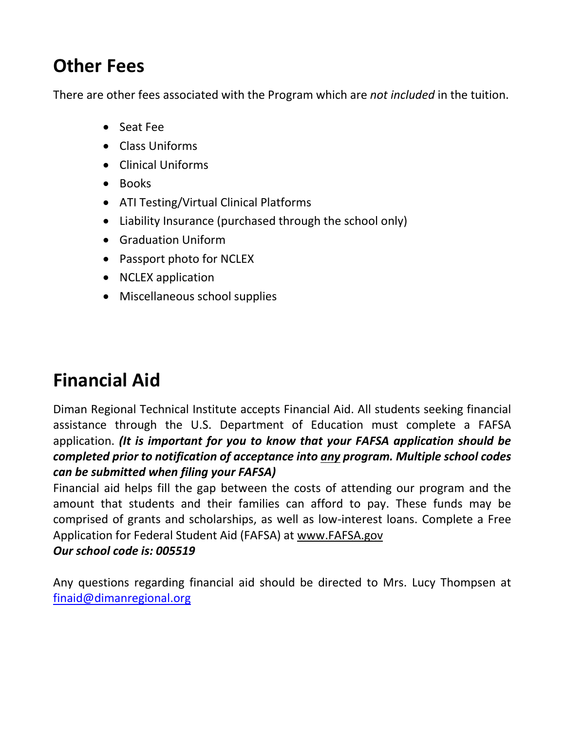# **Other Fees**

There are other fees associated with the Program which are *not included* in the tuition.

- Seat Fee
- Class Uniforms
- Clinical Uniforms
- Books
- ATI Testing/Virtual Clinical Platforms
- Liability Insurance (purchased through the school only)
- Graduation Uniform
- Passport photo for NCLEX
- NCLEX application
- Miscellaneous school supplies

# **Financial Aid**

Diman Regional Technical Institute accepts Financial Aid. All students seeking financial assistance through the U.S. Department of Education must complete a FAFSA application. *(It is important for you to know that your FAFSA application should be completed prior to notification of acceptance into any program. Multiple school codes can be submitted when filing your FAFSA)*

Financial aid helps fill the gap between the costs of attending our program and the amount that students and their families can afford to pay. These funds may be comprised of grants and scholarships, as well as low-interest loans. Complete a Free Application for Federal Student Aid (FAFSA) at [www.FAFSA.gov](http://www.fafsa.gov/)

### *Our school code is: 005519*

Any questions regarding financial aid should be directed to Mrs. Lucy Thompsen at [finaid@dimanregional.org](mailto:finaid@dimanregional.org)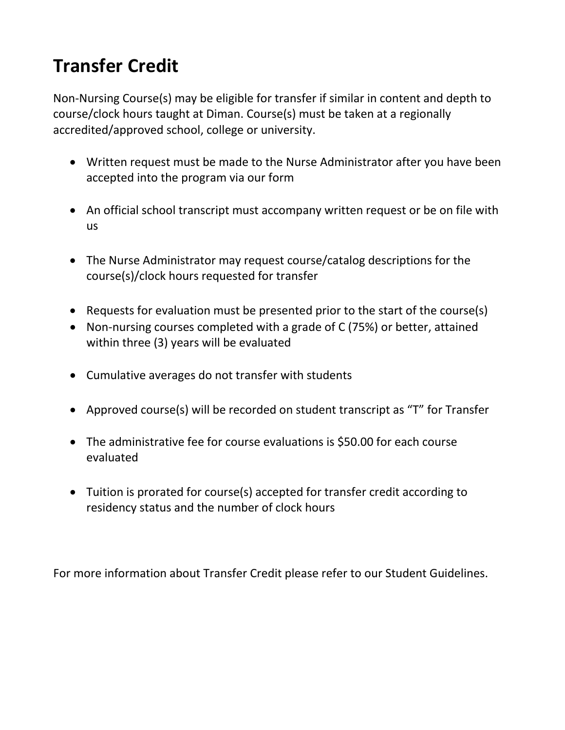# **Transfer Credit**

Non-Nursing Course(s) may be eligible for transfer if similar in content and depth to course/clock hours taught at Diman. Course(s) must be taken at a regionally accredited/approved school, college or university.

- Written request must be made to the Nurse Administrator after you have been accepted into the program via our form
- An official school transcript must accompany written request or be on file with us
- The Nurse Administrator may request course/catalog descriptions for the course(s)/clock hours requested for transfer
- Requests for evaluation must be presented prior to the start of the course(s)
- Non-nursing courses completed with a grade of C (75%) or better, attained within three (3) years will be evaluated
- Cumulative averages do not transfer with students
- Approved course(s) will be recorded on student transcript as "T" for Transfer
- The administrative fee for course evaluations is \$50.00 for each course evaluated
- Tuition is prorated for course(s) accepted for transfer credit according to residency status and the number of clock hours

For more information about Transfer Credit please refer to our Student Guidelines.